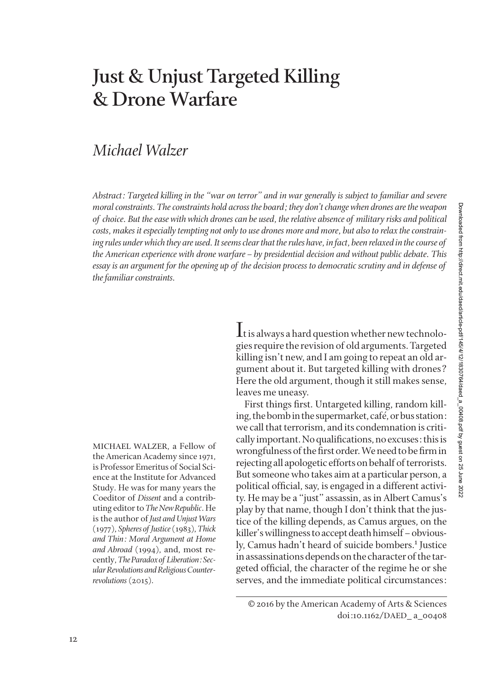## **Just & Unjust Targeted Killing & Drone Warfare**

## *Michael Walzer*

*Abstract: Targeted killing in the "war on terror" and in war generally is subject to familiar and severe moral constraints. The constraints hold across the board; they don't change when drones are the weapon of choice. But the ease with which drones can be used, the relative absence of military risks and political costs, makes it especially tempting not only to use drones more and more, but also to relax the constraining rules under which they are used. It seems clear that the rules have, in fact, been relaxed in the course of the American experience with drone warfare–by presidential decision and without public debate. This essay is an argument for the opening up of the decision process to democratic scrutiny and in defense of the familiar constraints.*

MICHAEL WALZER, a Fellow of the American Academy since 1971, is Professor Emeritus of Social Science at the Institute for Advanced Study. He was for many years the Coeditor of *Dissent* and a contributing editor to *The New Republic*. He is the author of *Just and Unjust Wars* (1977), *Spheres of Justice* (1983), *Thick and Thin: Moral Argument at Home and Abroad* (1994), and, most recently, *The Paradox of Liberation: Secular Revolutions and Religious Counterrevolutions* (2015).

 $\mathbf 1$ t is always a hard question whether new technologies require the revision of old arguments. Targeted killing isn't new, and I am going to repeat an old argument about it. But targeted killing with drones? Here the old argument, though it still makes sense, leaves me uneasy.

First things first. Untargeted killing, random killing, the bomb in the supermarket, café, or bus station: we call that terrorism, and its condemnation is critically important. No qualifications, no excuses: this is wrongfulness of the first order. We need to be firm in rejecting all apologetic efforts on behalf of terrorists. But someone who takes aim at a particular person, a political official, say, is engaged in a different activity. He may be a "just" assassin, as in Albert Camus's play by that name, though I don't think that the justice of the killing depends, as Camus argues, on the killer's willingness to accept death himself–obviously, Camus hadn't heard of suicide bombers.<sup>1</sup> Justice in assassinations depends on the character of the targeted official, the character of the regime he or she serves, and the immediate political circumstances:

<sup>© 2016</sup> by the American Academy of Arts & Sciences doi:10.1162/DAED\_ a\_00408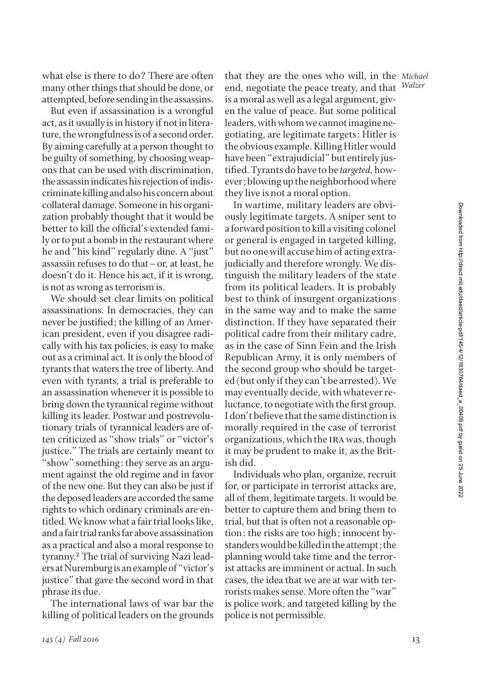what else is there to do? There are often many other things that should be done, or attempted, before sending in the assassins.

But even if assassination is a wrongful act, as it usually is in history if not in literature, the wrongfulness is of a second order. By aiming carefully at a person thought to be guilty of something, by choosing weapons that can be used with discrimination, the assassin indicates his rejection of indiscriminate killing and also his concern about collateral damage. Someone in his organization probably thought that it would be better to kill the official's extended family or to put a bomb in the restaurant where he and "his kind" regularly dine. A "just" assassin refuses to do that–or, at least, he doesn't do it. Hence his act, if it is wrong, is not as wrong as terrorism is.

We should set clear limits on political assassinations. In democracies, they can never be justified; the killing of an American president, even if you disagree radically with his tax policies, is easy to make out as a criminal act. It is only the blood of tyrants that waters the tree of liberty. And even with tyrants, a trial is preferable to an assassination whenever it is possible to bring down the tyrannical regime without killing its leader. Postwar and postrevolutionary trials of tyrannical leaders are often criticized as "show trials" or "victor's justice." The trials are certainly meant to "show" something: they serve as an argument against the old regime and in favor of the new one. But they can also be just if the deposed leaders are accorded the same rights to which ordinary criminals are entitled. We know what a fair trial looks like, and a fair trial ranks far above assassination as a practical and also a moral response to tyranny.2 The trial of surviving Nazi leaders at Nuremburg is an example of "victor's justice" that gave the second word in that phrase its due.

The international laws of war bar the killing of political leaders on the grounds

that they are the ones who will, in the Michael *Walzer* end, negotiate the peace treaty, and that is a moral as well as a legal argument, given the value of peace. But some political leaders, with whom we cannot imagine negotiating, are legitimate targets: Hitler is the obvious example. Killing Hitler would have been "extrajudicial" but entirely justified. Tyrants do have to be *targeted*, however; blowing up the neighborhood where they live is not a moral option.

In wartime, military leaders are obviously legitimate targets. A sniper sent to a forward position to kill a visiting colonel or general is engaged in targeted killing, but no one will accuse him of acting extrajudicially and therefore wrongly. We distinguish the military leaders of the state from its political leaders. It is probably best to think of insurgent organizations in the same way and to make the same distinction. If they have separated their political cadre from their military cadre, as in the case of Sinn Fein and the Irish Republican Army, it is only members of the second group who should be targeted (but only if they can't be arrested). We may eventually decide, with whatever reluctance, to negotiate with the first group. I don't believe that the same distinction is morally required in the case of terrorist organizations, which the ira was, though it may be prudent to make it, as the British did.

Individuals who plan, organize, recruit for, or participate in terrorist attacks are, all of them, legitimate targets. It would be better to capture them and bring them to trial, but that is often not a reasonable option: the risks are too high; innocent bystanders would be killed in the attempt; the planning would take time and the terrorist attacks are imminent or actual. In such cases, the idea that we are at war with terrorists makes sense. More often the "war" is police work, and targeted killing by the police is not permissible.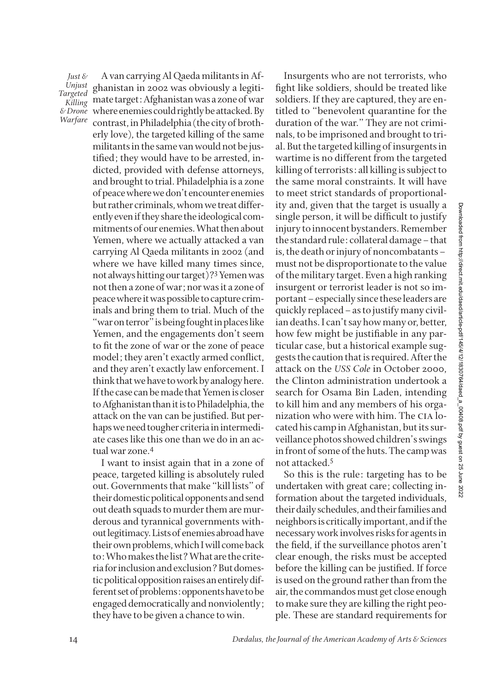*Just & Unjust Targeted Killing Warfare*

*& Drone*  where enemies could rightly be attacked. By A van carrying Al Qaeda militants in Afghanistan in 2002 was obviously a legitimate target: Afghanistan was a zone of war contrast, in Philadelphia (the city of brotherly love), the targeted killing of the same militants in the same van would not be justified; they would have to be arrested, indicted, provided with defense attorneys, and brought to trial. Philadelphia is a zone of peace where we don't encounter enemies but rather criminals, whom we treat differently even if they share the ideological commitments of our enemies. What then about Yemen, where we actually attacked a van carrying Al Qaeda militants in 2002 (and where we have killed many times since, not always hitting our target)?3 Yemen was not then a zone of war; nor was it a zone of peace where it was possible to capture criminals and bring them to trial. Much of the "war on terror" is being fought in places like Yemen, and the engagements don't seem to fit the zone of war or the zone of peace model; they aren't exactly armed conflict, and they aren't exactly law enforcement. I think that we have to work by analogy here. If the case can be made that Yemen is closer to Afghanistan than it is to Philadelphia, the attack on the van can be justified. But perhaps we need tougher criteria in intermediate cases like this one than we do in an actual war zone.4

I want to insist again that in a zone of peace, targeted killing is absolutely ruled out. Governments that make "kill lists" of their domestic political opponents and send out death squads to murder them are murderous and tyrannical governments without legitimacy. Lists of enemies abroad have their own problems, which I will come back to: Who makes the list? What are the criteria for inclusion and exclusion? But domestic political opposition raises an entirely different set of problems: opponents have to be engaged democratically and nonviolently; they have to be given a chance to win.

Insurgents who are not terrorists, who fight like soldiers, should be treated like soldiers. If they are captured, they are entitled to "benevolent quarantine for the duration of the war." They are not criminals, to be imprisoned and brought to trial. But the targeted killing of insurgents in wartime is no different from the targeted killing of terrorists: all killing is subject to the same moral constraints. It will have to meet strict standards of proportionality and, given that the target is usually a single person, it will be difficult to justify injury to innocent bystanders. Remember the standard rule: collateral damage–that is, the death or injury of noncombatants– must not be disproportionate to the value of the military target. Even a high ranking insurgent or terrorist leader is not so important–especially since these leaders are quickly replaced–as to justify many civilian deaths. I can't say how many or, better, how few might be justifiable in any particular case, but a historical example suggests the caution that is required. After the attack on the *USS Cole* in October 2000, the Clinton administration undertook a search for Osama Bin Laden, intending to kill him and any members of his organization who were with him. The cia located his camp in Afghanistan, but its surveillance photos showed children's swings in front of some of the huts. The camp was not attacked.5

So this is the rule: targeting has to be undertaken with great care; collecting information about the targeted individuals, their daily schedules, and their families and neighbors is critically important, and if the necessary work involves risks for agents in the field, if the surveillance photos aren't clear enough, the risks must be accepted before the killing can be justified. If force is used on the ground rather than from the air, the commandos must get close enough to make sure they are killing the right people. These are standard requirements for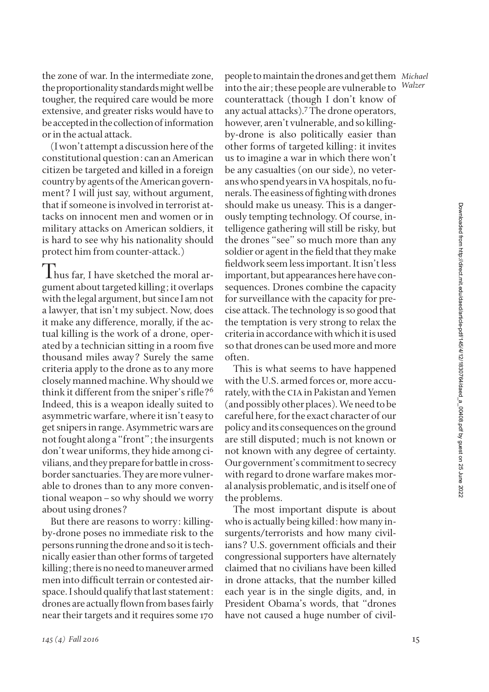*Walzer*

the zone of war. In the intermediate zone, the proportionality standards might well be tougher, the required care would be more extensive, and greater risks would have to be accepted in the collection of information or in the actual attack.

(I won't attempt a discussion here of the constitutional question: can an American citizen be targeted and killed in a foreign country by agents of the American government? I will just say, without argument, that if someone is involved in terrorist attacks on innocent men and women or in military attacks on American soldiers, it is hard to see why his nationality should protect him from counter-attack.)

**Thus far, I have sketched the moral ar**gument about targeted killing; it overlaps with the legal argument, but since I am not a lawyer, that isn't my subject. Now, does it make any difference, morally, if the actual killing is the work of a drone, operated by a technician sitting in a room five thousand miles away? Surely the same criteria apply to the drone as to any more closely manned machine. Why should we think it different from the sniper's rifle?6 Indeed, this is a weapon ideally suited to asymmetric warfare, where it isn't easy to get snipers in range. Asymmetric wars are not fought along a "front"; the insurgents don't wear uniforms, they hide among civilians, and they prepare for battle in crossborder sanctuaries. They are more vulnerable to drones than to any more conventional weapon–so why should we worry about using drones?

But there are reasons to worry: killingby-drone poses no immediate risk to the persons running the drone and so it is technically easier than other forms of targeted killing; there is no need to maneuver armed men into difficult terrain or contested airspace. I should qualify that last statement: drones are actually flown from bases fairly near their targets and it requires some 170

*Michael* people to maintain the drones and get them into the air; these people are vulnerable to counterattack (though I don't know of any actual attacks).7 The drone operators, however, aren't vulnerable, and so killingby-drone is also politically easier than other forms of targeted killing: it invites us to imagine a war in which there won't be any casualties (on our side), no veterans who spend years in va hospitals, no funerals. The easiness of fighting with drones should make us uneasy. This is a dangerously tempting technology. Of course, intelligence gathering will still be risky, but the drones "see" so much more than any soldier or agent in the field that they make fieldwork seem less important. It isn't less important, but appearances here have consequences. Drones combine the capacity for surveillance with the capacity for precise attack. The technology is so good that the temptation is very strong to relax the criteria in accordance with which it is used so that drones can be used more and more often.

This is what seems to have happened with the U.S. armed forces or, more accurately, with the cia in Pakistan and Yemen (and possibly other places). We need to be careful here, for the exact character of our policy and its consequences on the ground are still disputed; much is not known or not known with any degree of certainty. Our government's commitment to secrecy with regard to drone warfare makes moral analysis problematic, and is itself one of the problems.

The most important dispute is about who is actually being killed: how many insurgents/terrorists and how many civilians? U.S. government officials and their congressional supporters have alternately claimed that no civilians have been killed in drone attacks, that the number killed each year is in the single digits, and, in President Obama's words, that "drones have not caused a huge number of civil-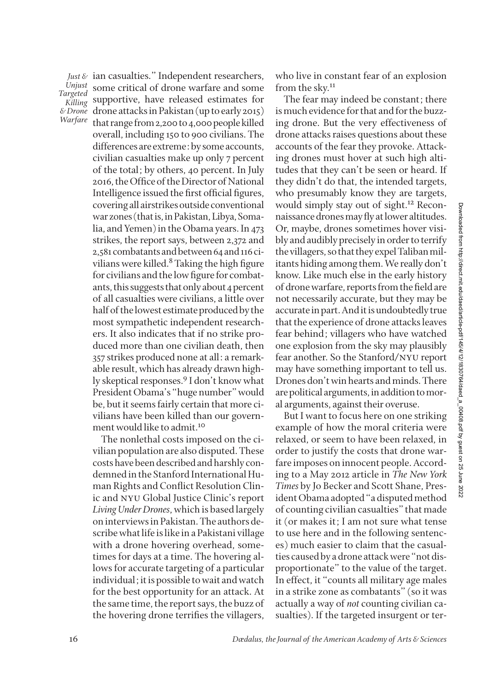*Unjust Targeted Warfare*

*Just &*  ian casualties." Independent researchers, *Killing* supportive, have released estimates for *& Drone*  drone attacks in Pakistan (up to early 2015) some critical of drone warfare and some that range from 2,200 to 4,000 people killed overall, including 150 to 900 civilians. The differences are extreme: by some accounts, civilian casualties make up only 7 percent of the total; by others, 40 percent. In July 2016, the Office of the Director of National Intelligence issued the first official figures, covering all airstrikes outside conventional war zones (that is, in Pakistan, Libya, Somalia, and Yemen) in the Obama years. In 473 strikes, the report says, between 2,372 and 2,581 combatants and between 64 and 116 civilians were killed.<sup>8</sup> Taking the high figure for civilians and the low figure for combatants, this suggests that only about 4 percent of all casualties were civilians, a little over half of the lowest estimate produced by the most sympathetic independent researchers. It also indicates that if no strike produced more than one civilian death, then 357 strikes produced none at all: a remarkable result, which has already drawn highly skeptical responses.9 I don't know what President Obama's "huge number" would be, but it seems fairly certain that more civilians have been killed than our government would like to admit.10

The nonlethal costs imposed on the civilian population are also disputed. These costs have been described and harshly condemned in the Stanford International Human Rights and Conflict Resolution Clinic and nyu Global Justice Clinic's report *Living Under Drones*, which is based largely on interviews in Pakistan. The authors describe what life is like in a Pakistani village with a drone hovering overhead, sometimes for days at a time. The hovering allows for accurate targeting of a particular individual; it is possible to wait and watch for the best opportunity for an attack. At the same time, the report says, the buzz of the hovering drone terrifies the villagers,

who live in constant fear of an explosion from the sky.<sup>11</sup>

The fear may indeed be constant; there is much evidence for that and for the buzzing drone. But the very effectiveness of drone attacks raises questions about these accounts of the fear they provoke. Attacking drones must hover at such high altitudes that they can't be seen or heard. If they didn't do that, the intended targets, who presumably know they are targets, would simply stay out of sight.<sup>12</sup> Reconnaissance drones may fly at lower altitudes. Or, maybe, drones sometimes hover visibly and audibly precisely in order to terrify the villagers, so that they expel Taliban militants hiding among them. We really don't know. Like much else in the early history of drone warfare, reports from the field are not necessarily accurate, but they may be accurate in part. And it is undoubtedly true that the experience of drone attacks leaves fear behind; villagers who have watched one explosion from the sky may plausibly fear another. So the Stanford/nyu report may have something important to tell us. Drones don't win hearts and minds. There are political arguments, in addition to moral arguments, against their overuse.

But I want to focus here on one striking example of how the moral criteria were relaxed, or seem to have been relaxed, in order to justify the costs that drone warfare imposes on innocent people. According to a May 2012 article in *The New York Times* by Jo Becker and Scott Shane, President Obama adopted "a disputed method of counting civilian casualties" that made it (or makes it; I am not sure what tense to use here and in the following sentences) much easier to claim that the casualties caused by a drone attack were "not disproportionate" to the value of the target. In effect, it "counts all military age males in a strike zone as combatants" (so it was actually a way of *not* counting civilian casualties). If the targeted insurgent or ter-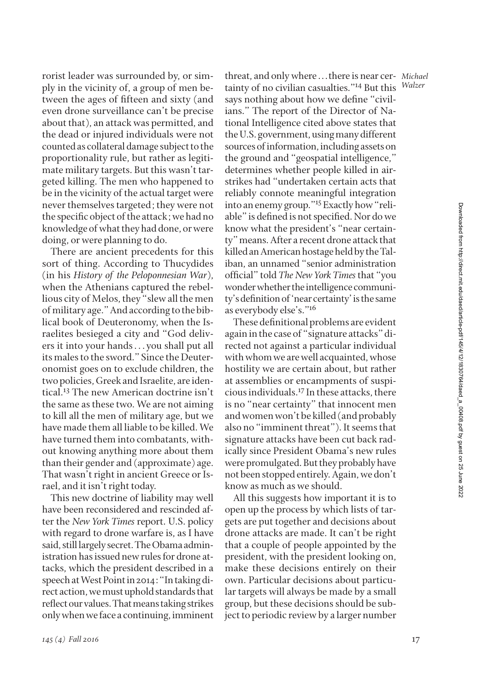Downloaded from http://direct.mit.edu/daed/article-pdf/14/12/1830764/daed\_a\_00408.pdf by guest on 25 June 2022 Downloaded from http://direct.mit.edu/daed/article-pdf/145/4/12/1830764/daed\_a\_00408.pdf by guest on 25 June 2022

rorist leader was surrounded by, or simply in the vicinity of, a group of men between the ages of fifteen and sixty (and even drone surveillance can't be precise about that), an attack was permitted, and the dead or injured individuals were not counted as collateral damage subject to the proportionality rule, but rather as legitimate military targets. But this wasn't targeted killing. The men who happened to be in the vicinity of the actual target were never themselves targeted; they were not the specific object of the attack; we had no knowledge of what they had done, or were doing, or were planning to do.

There are ancient precedents for this sort of thing. According to Thucydides (in his *History of the Peloponnesian War*), when the Athenians captured the rebellious city of Melos, they "slew all the men of military age." And according to the biblical book of Deuteronomy, when the Israelites besieged a city and "God delivers it into your hands . . . you shall put all its males to the sword." Since the Deuteronomist goes on to exclude children, the two policies, Greek and Israelite, are identical.13 The new American doctrine isn't the same as these two. We are not aiming to kill all the men of military age, but we have made them all liable to be killed. We have turned them into combatants, without knowing anything more about them than their gender and (approximate) age. That wasn't right in ancient Greece or Israel, and it isn't right today.

This new doctrine of liability may well have been reconsidered and rescinded after the *New York Times* report. U.S. policy with regard to drone warfare is, as I have said, still largely secret. The Obama administration has issued new rules for drone attacks, which the president described in a speech at West Point in 2014: "In taking direct action, we must uphold standards that reflect our values. That means taking strikes only when we face a continuing, imminent

threat, and only where ... there is near cer- Michael *Walzer* tainty of no civilian casualties."14 But this says nothing about how we define "civilians." The report of the Director of National Intelligence cited above states that the U.S. government, using many different sources of information, including assets on the ground and "geospatial intelligence," determines whether people killed in airstrikes had "undertaken certain acts that reliably connote meaningful integration into an enemy group."15 Exactly how "reliable" is defined is not specified. Nor do we know what the president's "near certainty" means. After a recent drone attack that killed an American hostage held by the Taliban, an unnamed "senior administration official" told *The New York Times* that "you wonder whether the intelligence community's definition of 'near certainty' is the same as everybody else's."16

These definitional problems are evident again in the case of "signature attacks" directed not against a particular individual with whom we are well acquainted, whose hostility we are certain about, but rather at assemblies or encampments of suspicious individuals.17 In these attacks, there is no "near certainty" that innocent men and women won't be killed (and probably also no "imminent threat"). It seems that signature attacks have been cut back radically since President Obama's new rules were promulgated. But they probably have not been stopped entirely. Again, we don't know as much as we should.

All this suggests how important it is to open up the process by which lists of targets are put together and decisions about drone attacks are made. It can't be right that a couple of people appointed by the president, with the president looking on, make these decisions entirely on their own. Particular decisions about particular targets will always be made by a small group, but these decisions should be subject to periodic review by a larger number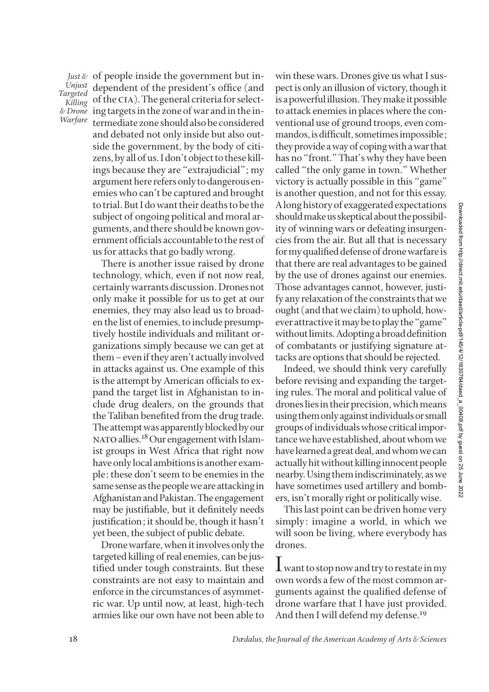*Unjust Targeted Killing Warfare*

*Just &*  of people inside the government but in-*& Drone*  ing targets in the zone of war and in the independent of the president's office (and of the cia). The general criteria for selecttermediate zone should also be considered and debated not only inside but also outside the government, by the body of citizens, by all of us. I don't object to these killings because they are "extrajudicial"; my argument here refers only to dangerous enemies who can't be captured and brought to trial. But I do want their deaths to be the subject of ongoing political and moral arguments, and there should be known government officials accountable to the rest of us for attacks that go badly wrong.

> There is another issue raised by drone technology, which, even if not now real, certainly warrants discussion. Drones not only make it possible for us to get at our enemies, they may also lead us to broaden the list of enemies, to include presumptively hostile individuals and militant organizations simply because we can get at them–even if they aren't actually involved in attacks against us. One example of this is the attempt by American officials to expand the target list in Afghanistan to include drug dealers, on the grounds that the Taliban benefited from the drug trade. The attempt was apparently blocked by our NATO allies.<sup>18</sup> Our engagement with Islamist groups in West Africa that right now have only local ambitions is another example: these don't seem to be enemies in the same sense as the people we are attacking in Afghanistan and Pakistan. The engagement may be justifiable, but it definitely needs justification; it should be, though it hasn't yet been, the subject of public debate.

> Drone warfare, when it involves only the targeted killing of real enemies, can be justified under tough constraints. But these constraints are not easy to maintain and enforce in the circumstances of asymmetric war. Up until now, at least, high-tech armies like our own have not been able to

win these wars. Drones give us what I suspect is only an illusion of victory, though it is a powerful illusion. They make it possible to attack enemies in places where the conventional use of ground troops, even commandos, is difficult, sometimes impossible; they provide a way of coping with a war that has no "front." That's why they have been called "the only game in town." Whether victory is actually possible in this "game" is another question, and not for this essay. A long history of exaggerated expectations should make us skeptical about the possibility of winning wars or defeating insurgencies from the air. But all that is necessary for my qualified defense of drone warfare is that there are real advantages to be gained by the use of drones against our enemies. Those advantages cannot, however, justify any relaxation of the constraints that we ought (and that we claim) to uphold, however attractive it may be to play the "game" without limits. Adopting a broad definition of combatants or justifying signature attacks are options that should be rejected.

Indeed, we should think very carefully before revising and expanding the targeting rules. The moral and political value of drones lies in their precision, which means using them only against individuals or small groups of individuals whose critical importance we have established, about whom we have learned a great deal, and whom we can actually hit without killing innocent people nearby. Using them indiscriminately, as we have sometimes used artillery and bombers, isn't morally right or politically wise.

This last point can be driven home very simply: imagine a world, in which we will soon be living, where everybody has drones.

 $\mathbf 1$  want to stop now and try to restate in my own words a few of the most common arguments against the qualified defense of drone warfare that I have just provided. And then I will defend my defense.<sup>19</sup>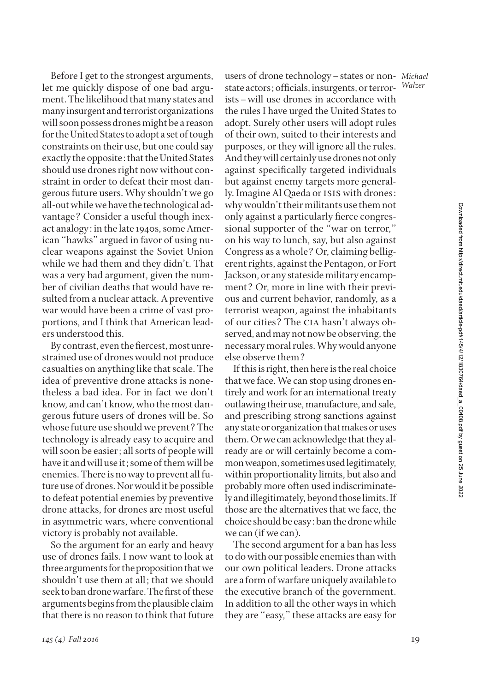Downloaded from http://direct.mit.edu/daed/article-pdf/14/12/1830764/daed\_a\_00408.pdf by guest on 25 June 2022 Downloaded from http://direct.mit.edu/daed/article-pdf/145/4/12/1830764/daed\_a\_00408.pdf by guest on 25 June 2022

Before I get to the strongest arguments, let me quickly dispose of one bad argument. The likelihood that many states and many insurgent and terrorist organizations will soon possess drones might be a reason for the United States to adopt a set of tough constraints on their use, but one could say exactly the opposite: that the United States should use drones right now without constraint in order to defeat their most dangerous future users. Why shouldn't we go all-out while we have the technological advantage? Consider a useful though inexact analogy: in the late 1940s, some American "hawks" argued in favor of using nuclear weapons against the Soviet Union while we had them and they didn't. That was a very bad argument, given the number of civilian deaths that would have resulted from a nuclear attack. A preventive war would have been a crime of vast proportions, and I think that American leaders understood this.

By contrast, even the fiercest, most unrestrained use of drones would not produce casualties on anything like that scale. The idea of preventive drone attacks is nonetheless a bad idea. For in fact we don't know, and can't know, who the most dangerous future users of drones will be. So whose future use should we prevent? The technology is already easy to acquire and will soon be easier; all sorts of people will have it and will use it; some of them will be enemies. There is no way to prevent all future use of drones. Nor would it be possible to defeat potential enemies by preventive drone attacks, for drones are most useful in asymmetric wars, where conventional victory is probably not available.

So the argument for an early and heavy use of drones fails. I now want to look at three arguments for the proposition that we shouldn't use them at all; that we should seek to ban drone warfare. The first of these arguments begins from the plausible claim that there is no reason to think that future

users of drone technology - states or non- Michael *Walzer* state actors; officials, insurgents, or terrorists–will use drones in accordance with the rules I have urged the United States to adopt. Surely other users will adopt rules of their own, suited to their interests and purposes, or they will ignore all the rules. And they will certainly use drones not only against specifically targeted individuals but against enemy targets more generally. Imagine Al Qaeda or isis with drones: why wouldn't their militants use them not only against a particularly fierce congressional supporter of the "war on terror," on his way to lunch, say, but also against Congress as a whole? Or, claiming belligerent rights, against the Pentagon, or Fort Jackson, or any stateside military encampment? Or, more in line with their previous and current behavior, randomly, as a terrorist weapon, against the inhabitants of our cities? The cia hasn't always observed, and may not now be observing, the necessary moral rules. Why would anyone else observe them?

If this is right, then here is the real choice that we face. We can stop using drones entirely and work for an international treaty outlawing their use, manufacture, and sale, and prescribing strong sanctions against any state or organization that makes or uses them. Or we can acknowledge that they already are or will certainly become a common weapon, sometimes used legitimately, within proportionality limits, but also and probably more often used indiscriminately and illegitimately, beyond those limits. If those are the alternatives that we face, the choice should be easy: ban the drone while we can (if we can).

The second argument for a ban has less to do with our possible enemies than with our own political leaders. Drone attacks are a form of warfare uniquely available to the executive branch of the government. In addition to all the other ways in which they are "easy," these attacks are easy for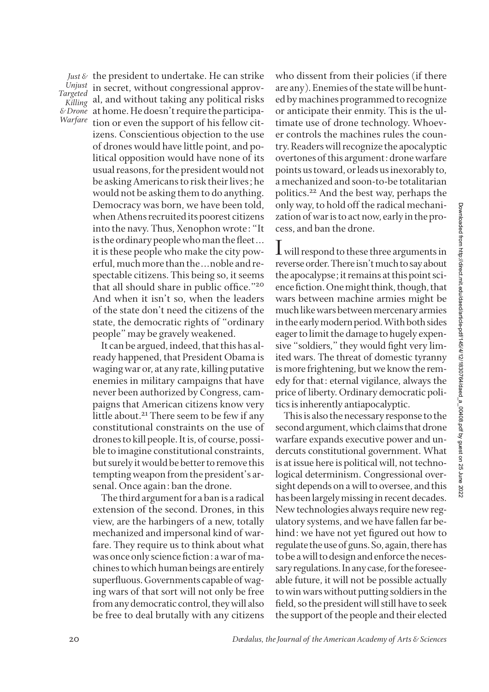*Targeted Killing Warfare*

*Just &*  the president to undertake. He can strike *Unjust*  in secret, without congressional approv-*& Drone*  at home. He doesn't require the participaal, and without taking any political risks tion or even the support of his fellow citizens. Conscientious objection to the use of drones would have little point, and political opposition would have none of its usual reasons, for the president would not be asking Americans to risk their lives; he would not be asking them to do anything. Democracy was born, we have been told, when Athens recruited its poorest citizens into the navy. Thus, Xenophon wrote: "It is the ordinary people who man the fleet... it is these people who make the city pow-

erful, much more than the . . . noble and respectable citizens. This being so, it seems that all should share in public office."<sup>20</sup> And when it isn't so, when the leaders of the state don't need the citizens of the state, the democratic rights of "ordinary people" may be gravely weakened.

It can be argued, indeed, that this has already happened, that President Obama is waging war or, at any rate, killing putative enemies in military campaigns that have never been authorized by Congress, campaigns that American citizens know very little about.<sup>21</sup> There seem to be few if any constitutional constraints on the use of drones to kill people. It is, of course, possible to imagine constitutional constraints, but surely it would be better to remove this tempting weapon from the president's arsenal. Once again: ban the drone.

The third argument for a ban is a radical extension of the second. Drones, in this view, are the harbingers of a new, totally mechanized and impersonal kind of warfare. They require us to think about what was once only science fiction: a war of machines to which human beings are entirely superfluous. Governments capable of waging wars of that sort will not only be free from any democratic control, they will also be free to deal brutally with any citizens

who dissent from their policies (if there are any). Enemies of the state will be hunted by machines programmed to recognize or anticipate their enmity. This is the ultimate use of drone technology. Whoever controls the machines rules the country. Readers will recognize the apocalyptic overtones of this argument: drone warfare points us toward, or leads us inexorably to, a mechanized and soon-to-be totalitarian politics.22 And the best way, perhaps the only way, to hold off the radical mechanization of war is to act now, early in the process, and ban the drone.

I will respond to these three arguments in reverse order. There isn't much to say about the apocalypse; it remains at this point science fiction. One might think, though, that wars between machine armies might be much like wars between mercenary armies in the early modern period. With both sides eager to limit the damage to hugely expensive "soldiers," they would fight very limited wars. The threat of domestic tyranny is more frightening, but we know the remedy for that: eternal vigilance, always the price of liberty. Ordinary democratic politics is inherently antiapocalyptic.

This is also the necessary response to the second argument, which claims that drone warfare expands executive power and undercuts constitutional government. What is at issue here is political will, not technological determinism. Congressional oversight depends on a will to oversee, and this has been largely missing in recent decades. New technologies always require new regulatory systems, and we have fallen far behind: we have not yet figured out how to regulate the use of guns. So, again, there has to be a will to design and enforce the necessary regulations. In any case, for the foreseeable future, it will not be possible actually to win wars without putting soldiers in the field, so the president will still have to seek the support of the people and their elected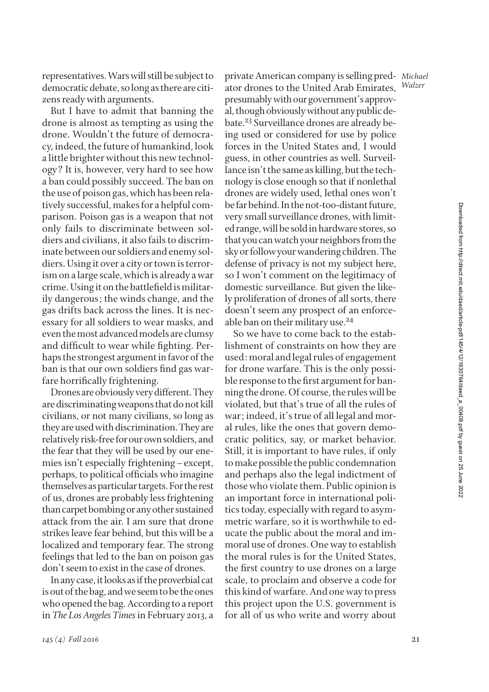*Walzer*

representatives. Wars will still be subject to democratic debate, so long as there are citizens ready with arguments.

But I have to admit that banning the drone is almost as tempting as using the drone. Wouldn't the future of democracy, indeed, the future of humankind, look a little brighter without this new technology? It is, however, very hard to see how a ban could possibly succeed. The ban on the use of poison gas, which has been relatively successful, makes for a helpful comparison. Poison gas is a weapon that not only fails to discriminate between soldiers and civilians, it also fails to discriminate between our soldiers and enemy soldiers. Using it over a city or town is terrorism on a large scale, which is already a war crime. Using it on the battlefield is militarily dangerous; the winds change, and the gas drifts back across the lines. It is necessary for all soldiers to wear masks, and even the most advanced models are clumsy and difficult to wear while fighting. Perhaps the strongest argument in favor of the ban is that our own soldiers find gas warfare horrifically frightening.

Drones are obviously very different. They are discriminating weapons that do not kill civilians, or not many civilians, so long as they are used with discrimination. They are relatively risk-free for our own soldiers, and the fear that they will be used by our enemies isn't especially frightening–except, perhaps, to political officials who imagine themselves as particular targets. For the rest of us, drones are probably less frightening than carpet bombing or any other sustained attack from the air. I am sure that drone strikes leave fear behind, but this will be a localized and temporary fear. The strong feelings that led to the ban on poison gas don't seem to exist in the case of drones.

In any case, it looks as if the proverbial cat is out of the bag, and we seem to be the ones who opened the bag. According to a report in *The Los Angeles Times* in February 2013, a

private American company is selling pred- Michael ator drones to the United Arab Emirates, presumably with our government's approval, though obviously without any public debate.<sup>23</sup> Surveillance drones are already being used or considered for use by police forces in the United States and, I would guess, in other countries as well. Surveillance isn't the same as killing, but the technology is close enough so that if nonlethal drones are widely used, lethal ones won't be far behind. In the not-too-distant future, very small surveillance drones, with limited range, will be sold in hardware stores, so that you can watch your neighbors from the sky or follow your wandering children. The defense of privacy is not my subject here, so I won't comment on the legitimacy of domestic surveillance. But given the likely proliferation of drones of all sorts, there doesn't seem any prospect of an enforceable ban on their military use.<sup>24</sup>

So we have to come back to the establishment of constraints on how they are used: moral and legal rules of engagement for drone warfare. This is the only possible response to the first argument for banning the drone. Of course, the rules will be violated, but that's true of all the rules of war; indeed, it's true of all legal and moral rules, like the ones that govern democratic politics, say, or market behavior. Still, it is important to have rules, if only to make possible the public condemnation and perhaps also the legal indictment of those who violate them. Public opinion is an important force in international politics today, especially with regard to asymmetric warfare, so it is worthwhile to educate the public about the moral and immoral use of drones. One way to establish the moral rules is for the United States, the first country to use drones on a large scale, to proclaim and observe a code for this kind of warfare. And one way to press this project upon the U.S. government is for all of us who write and worry about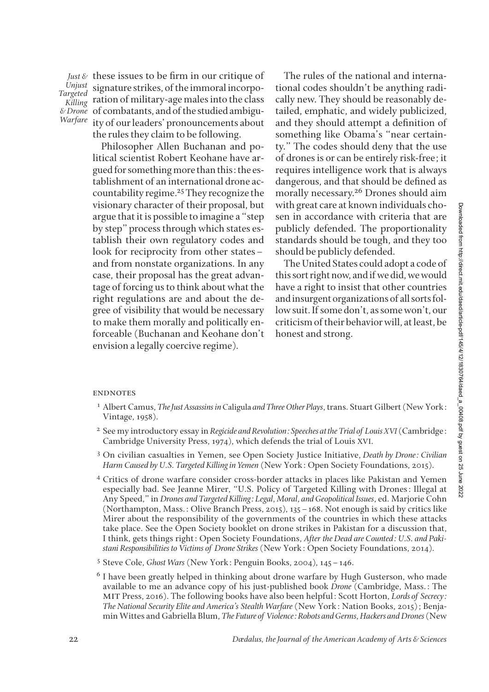*Targeted Warfare*

*Just &*  these issues to be firm in our critique of *Unjust*  signature strikes, of the immoral incorpo-*Killing* ration of military-age males into the class *& Drone*  of combatants, and of the studied ambiguity of our leaders' pronouncements about the rules they claim to be following.

> Philosopher Allen Buchanan and political scientist Robert Keohane have argued for something more than this: the establishment of an international drone accountability regime.<sup>25</sup> They recognize the visionary character of their proposal, but argue that it is possible to imagine a "step by step" process through which states establish their own regulatory codes and look for reciprocity from other states– and from nonstate organizations. In any case, their proposal has the great advantage of forcing us to think about what the right regulations are and about the degree of visibility that would be necessary to make them morally and politically enforceable (Buchanan and Keohane don't envision a legally coercive regime).

The rules of the national and international codes shouldn't be anything radically new. They should be reasonably detailed, emphatic, and widely publicized, and they should attempt a definition of something like Obama's "near certainty." The codes should deny that the use of drones is or can be entirely risk-free; it requires intelligence work that is always dangerous, and that should be defined as morally necessary.26 Drones should aim with great care at known individuals chosen in accordance with criteria that are publicly defended. The proportionality standards should be tough, and they too should be publicly defended.

The United States could adopt a code of this sort right now, and if we did, we would have a right to insist that other countries and insurgent organizations of all sorts follow suit. If some don't, as some won't, our criticism of their behavior will, at least, be honest and strong.

## **ENDNOTES**

- <sup>1</sup> Albert Camus, *The Just Assassins in* Caligula *and Three Other Plays*, trans. Stuart Gilbert (New York: Vintage, 1958).
- <sup>2</sup> See my introductory essay in *Regicide and Revolution: Speeches at the Trial of Louis XVI* (Cambridge: Cambridge University Press, 1974), which defends the trial of Louis XVI.
- <sup>3</sup> On civilian casualties in Yemen, see Open Society Justice Initiative, *Death by Drone: Civilian Harm Caused by U.S. Targeted Killing in Yemen* (New York: Open Society Foundations, 2015).
- <sup>4</sup> Critics of drone warfare consider cross-border attacks in places like Pakistan and Yemen especially bad. See Jeanne Mirer, "U.S. Policy of Targeted Killing with Drones: Illegal at Any Speed," in *Drones and Targeted Killing: Legal, Moral, and Geopolitical Issues*, ed. Marjorie Cohn (Northampton, Mass.: Olive Branch Press, 2015), 135–168. Not enough is said by critics like Mirer about the responsibility of the governments of the countries in which these attacks take place. See the Open Society booklet on drone strikes in Pakistan for a discussion that, I think, gets things right: Open Society Foundations, *After the Dead are Counted: U.S. and Pakistani Responsibilities to Victims of Drone Strikes* (New York: Open Society Foundations, 2014).
- <sup>5</sup> Steve Cole, *Ghost Wars* (New York: Penguin Books, 2004), 145–146.
- <sup>6</sup> I have been greatly helped in thinking about drone warfare by Hugh Gusterson, who made available to me an advance copy of his just-published book *Drone* (Cambridge, Mass.: The mit Press, 2016). The following books have also been helpful: Scott Horton, *Lords of Secrecy: The National Security Elite and America's Stealth Warfare* (New York: Nation Books, 2015); Benjamin Wittes and Gabriella Blum, *The Future of Violence: Robots and Germs, Hackers and Drones* (New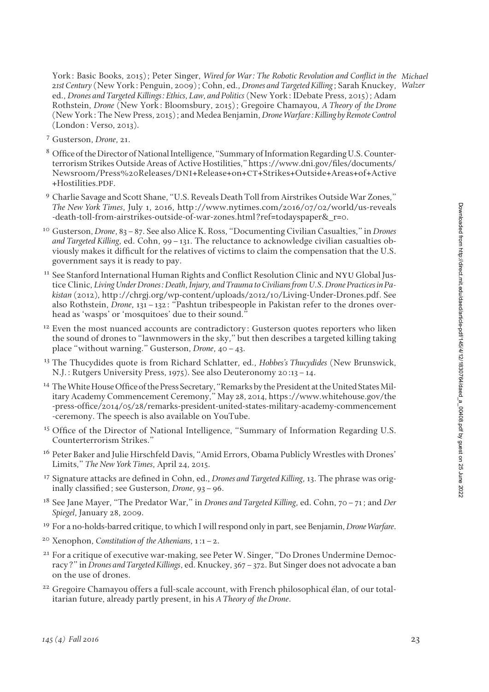*Michael* York: Basic Books, 2015); Peter Singer, *Wired for War: The Robotic Revolution and Conflict in the Walzer 21st Century* (New York: Penguin, 2009); Cohn, ed., *Drones and Targeted Killing*; Sarah Knuckey, ed., *Drones and Targeted Killings: Ethics, Law, and Politics* (New York: IDebate Press, 2015); Adam Rothstein, *Drone* (New York: Bloomsbury, 2015); Gregoire Chamayou, *A Theory of the Drone* (New York: The New Press, 2015); and Medea Benjamin, *Drone Warfare: Killing by Remote Control* (London: Verso, 2013).

- <sup>7</sup> Gusterson, *Drone*, 21.
- <sup>8</sup> Office of the Director of National Intelligence, "Summary of Information Regarding U.S. Counterterrorism Strikes Outside Areas of Active Hostilities," https://www.dni.gov/files/documents/ Newsroom/Press%20Releases/DNI+Release+on+CT+Strikes+Outside+Areas+of+Active +Hostilities.PDF.
- <sup>9</sup> Charlie Savage and Scott Shane, "U.S. Reveals Death Toll from Airstrikes Outside War Zones," *The New York Times*, July 1, 2016, http://www.nytimes.com/2016/07/02/world/us-reveals -death-toll-from-airstrikes-outside-of-war-zones.html?ref=todayspaper&\_r=0.
- <sup>10</sup> Gusterson, *Drone*, 83–87. See also Alice K. Ross, "Documenting Civilian Casualties," in *Drones and Targeted Killing*, ed. Cohn, 99–131. The reluctance to acknowledge civilian casualties obviously makes it difficult for the relatives of victims to claim the compensation that the U.S. government says it is ready to pay.
- <sup>11</sup> See Stanford International Human Rights and Conflict Resolution Clinic and NYU Global Justice Clinic, *Living Under Drones: Death, Injury, and Trauma to Civilians from U.S. Drone Practices in Pakistan* (2012), http://chrgj.org/wp-content/uploads/2012/10/Living-Under-Drones.pdf. See also Rothstein, *Drone*, 131–132: "Pashtun tribespeople in Pakistan refer to the drones overhead as 'wasps' or 'mosquitoes' due to their sound.'
- $12$  Even the most nuanced accounts are contradictory: Gusterson quotes reporters who liken the sound of drones to "lawnmowers in the sky," but then describes a targeted killing taking place "without warning." Gusterson, *Drone*, 40–43.
- <sup>13</sup> The Thucydides quote is from Richard Schlatter, ed., *Hobbes's Thucydides* (New Brunswick, N.J.: Rutgers University Press, 1975). See also Deuteronomy 20:13–14.
- <sup>14</sup> The White House Office of the Press Secretary, "Remarks by the President at the United States Military Academy Commencement Ceremony," May 28, 2014, https://www.whitehouse.gov/the -press-office/2014/05/28/remarks-president-united-states-military-academy-commencement -ceremony. The speech is also available on YouTube.
- <sup>15</sup> Office of the Director of National Intelligence, "Summary of Information Regarding U.S. Counterterrorism Strikes."
- <sup>16</sup> Peter Baker and Julie Hirschfeld Davis, "Amid Errors, Obama Publicly Wrestles with Drones' Limits," *The New York Times*, April 24, 2015.
- <sup>17</sup> Signature attacks are defined in Cohn, ed., *Drones and Targeted Killing*, 13. The phrase was originally classified; see Gusterson, *Drone*, 93–96.
- <sup>18</sup> See Jane Mayer, "The Predator War," in *Drones and Targeted Killing*, ed. Cohn, 70–71; and *Der Spiegel*, January 28, 2009.
- <sup>19</sup> For a no-holds-barred critique, to which I will respond only in part, see Benjamin, *Drone Warfare*.
- <sup>20</sup> Xenophon, *Constitution of the Athenians*, 1:1–2.
- <sup>21</sup> For a critique of executive war-making, see Peter W. Singer, "Do Drones Undermine Democracy?" in *Drones and Targeted Killings*, ed. Knuckey, 367–372. But Singer does not advocate a ban on the use of drones.
- <sup>22</sup> Gregoire Chamayou offers a full-scale account, with French philosophical élan, of our totalitarian future, already partly present, in his *A Theory of the Drone*.